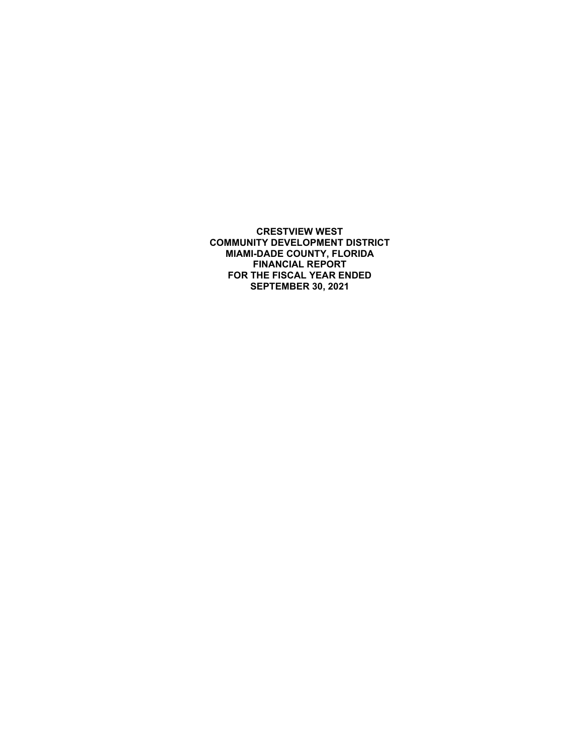**CRESTVIEW WEST COMMUNITY DEVELOPMENT DISTRICT MIAMI-DADE COUNTY, FLORIDA FINANCIAL REPORT FOR THE FISCAL YEAR ENDED SEPTEMBER 30, 2021**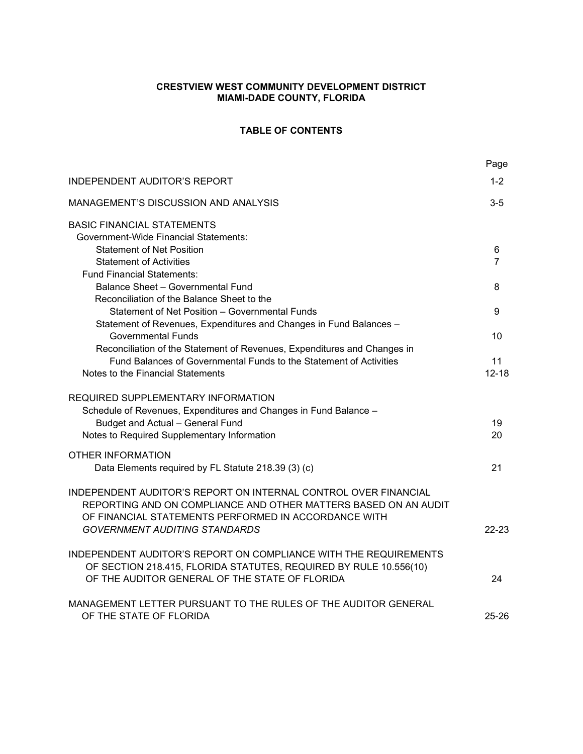# **CRESTVIEW WEST COMMUNITY DEVELOPMENT DISTRICT MIAMI-DADE COUNTY, FLORIDA**

# **TABLE OF CONTENTS**

|                                                                                                                                                                                            | Page      |
|--------------------------------------------------------------------------------------------------------------------------------------------------------------------------------------------|-----------|
| <b>INDEPENDENT AUDITOR'S REPORT</b>                                                                                                                                                        | $1 - 2$   |
| MANAGEMENT'S DISCUSSION AND ANALYSIS                                                                                                                                                       | $3-5$     |
| <b>BASIC FINANCIAL STATEMENTS</b>                                                                                                                                                          |           |
| <b>Government-Wide Financial Statements:</b>                                                                                                                                               |           |
| <b>Statement of Net Position</b>                                                                                                                                                           | 6         |
| <b>Statement of Activities</b>                                                                                                                                                             | 7         |
| <b>Fund Financial Statements:</b><br>Balance Sheet - Governmental Fund                                                                                                                     | 8         |
| Reconciliation of the Balance Sheet to the                                                                                                                                                 |           |
| Statement of Net Position - Governmental Funds                                                                                                                                             | 9         |
| Statement of Revenues, Expenditures and Changes in Fund Balances -                                                                                                                         |           |
| <b>Governmental Funds</b>                                                                                                                                                                  | 10        |
| Reconciliation of the Statement of Revenues, Expenditures and Changes in                                                                                                                   |           |
| Fund Balances of Governmental Funds to the Statement of Activities                                                                                                                         | 11        |
| Notes to the Financial Statements                                                                                                                                                          | $12 - 18$ |
| REQUIRED SUPPLEMENTARY INFORMATION<br>Schedule of Revenues, Expenditures and Changes in Fund Balance -<br>Budget and Actual - General Fund<br>Notes to Required Supplementary Information  | 19<br>20  |
| OTHER INFORMATION                                                                                                                                                                          |           |
| Data Elements required by FL Statute 218.39 (3) (c)                                                                                                                                        | 21        |
| INDEPENDENT AUDITOR'S REPORT ON INTERNAL CONTROL OVER FINANCIAL<br>REPORTING AND ON COMPLIANCE AND OTHER MATTERS BASED ON AN AUDIT<br>OF FINANCIAL STATEMENTS PERFORMED IN ACCORDANCE WITH |           |
| <b>GOVERNMENT AUDITING STANDARDS</b>                                                                                                                                                       | $22-23$   |
| INDEPENDENT AUDITOR'S REPORT ON COMPLIANCE WITH THE REQUIREMENTS<br>OF SECTION 218.415, FLORIDA STATUTES, REQUIRED BY RULE 10.556(10)                                                      |           |
| OF THE AUDITOR GENERAL OF THE STATE OF FLORIDA                                                                                                                                             | 24        |
| MANAGEMENT LETTER PURSUANT TO THE RULES OF THE AUDITOR GENERAL<br>OF THE STATE OF FLORIDA                                                                                                  | $25 - 26$ |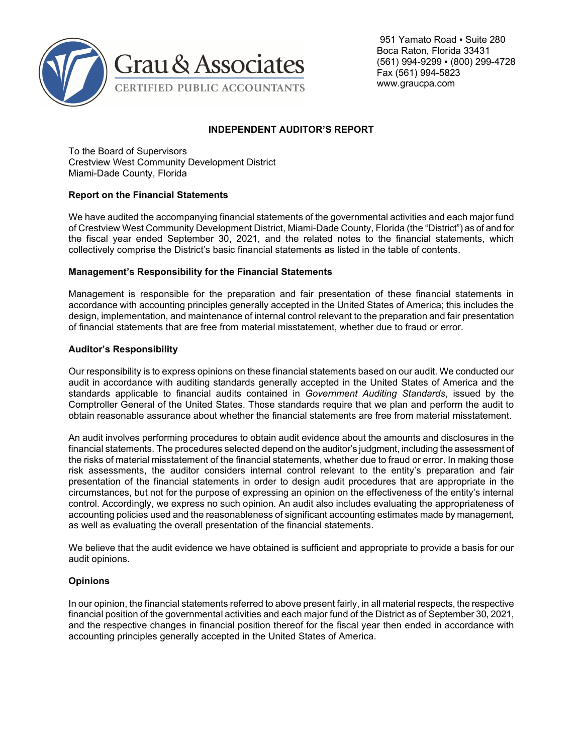

 951 Yamato Road ▪ Suite 280 Boca Raton, Florida 33431 (561) 994-9299 ▪ (800) 299-4728 Fax (561) 994-5823 www.graucpa.com

# **INDEPENDENT AUDITOR'S REPORT**

To the Board of Supervisors Crestview West Community Development District Miami-Dade County, Florida

### **Report on the Financial Statements**

We have audited the accompanying financial statements of the governmental activities and each major fund of Crestview West Community Development District, Miami-Dade County, Florida (the "District") as of and for the fiscal year ended September 30, 2021, and the related notes to the financial statements, which collectively comprise the District's basic financial statements as listed in the table of contents.

### **Management's Responsibility for the Financial Statements**

Management is responsible for the preparation and fair presentation of these financial statements in accordance with accounting principles generally accepted in the United States of America; this includes the design, implementation, and maintenance of internal control relevant to the preparation and fair presentation of financial statements that are free from material misstatement, whether due to fraud or error.

### **Auditor's Responsibility**

Our responsibility is to express opinions on these financial statements based on our audit. We conducted our audit in accordance with auditing standards generally accepted in the United States of America and the standards applicable to financial audits contained in *Government Auditing Standards*, issued by the Comptroller General of the United States. Those standards require that we plan and perform the audit to obtain reasonable assurance about whether the financial statements are free from material misstatement.

An audit involves performing procedures to obtain audit evidence about the amounts and disclosures in the financial statements. The procedures selected depend on the auditor's judgment, including the assessment of the risks of material misstatement of the financial statements, whether due to fraud or error. In making those risk assessments, the auditor considers internal control relevant to the entity's preparation and fair presentation of the financial statements in order to design audit procedures that are appropriate in the circumstances, but not for the purpose of expressing an opinion on the effectiveness of the entity's internal control. Accordingly, we express no such opinion. An audit also includes evaluating the appropriateness of accounting policies used and the reasonableness of significant accounting estimates made by management, as well as evaluating the overall presentation of the financial statements.

We believe that the audit evidence we have obtained is sufficient and appropriate to provide a basis for our audit opinions.

# **Opinions**

In our opinion, the financial statements referred to above present fairly, in all material respects, the respective financial position of the governmental activities and each major fund of the District as of September 30, 2021, and the respective changes in financial position thereof for the fiscal year then ended in accordance with accounting principles generally accepted in the United States of America.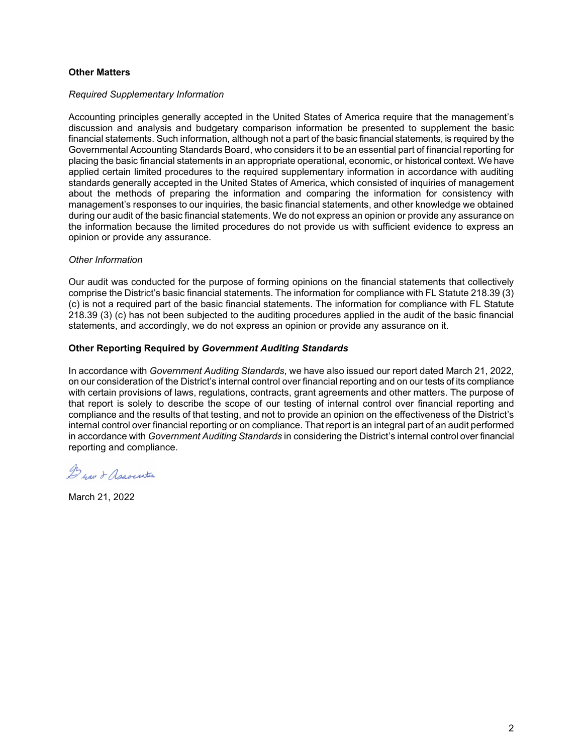### **Other Matters**

#### *Required Supplementary Information*

Accounting principles generally accepted in the United States of America require that the management's discussion and analysis and budgetary comparison information be presented to supplement the basic financial statements. Such information, although not a part of the basic financial statements, is required by the Governmental Accounting Standards Board, who considers it to be an essential part of financial reporting for placing the basic financial statements in an appropriate operational, economic, or historical context. We have applied certain limited procedures to the required supplementary information in accordance with auditing standards generally accepted in the United States of America, which consisted of inquiries of management about the methods of preparing the information and comparing the information for consistency with management's responses to our inquiries, the basic financial statements, and other knowledge we obtained during our audit of the basic financial statements. We do not express an opinion or provide any assurance on the information because the limited procedures do not provide us with sufficient evidence to express an opinion or provide any assurance.

### *Other Information*

Our audit was conducted for the purpose of forming opinions on the financial statements that collectively comprise the District's basic financial statements. The information for compliance with FL Statute 218.39 (3) (c) is not a required part of the basic financial statements. The information for compliance with FL Statute 218.39 (3) (c) has not been subjected to the auditing procedures applied in the audit of the basic financial statements, and accordingly, we do not express an opinion or provide any assurance on it.

### **Other Reporting Required by** *Government Auditing Standards*

In accordance with *Government Auditing Standards*, we have also issued our report dated March 21, 2022, on our consideration of the District's internal control over financial reporting and on our tests of its compliance with certain provisions of laws, regulations, contracts, grant agreements and other matters. The purpose of that report is solely to describe the scope of our testing of internal control over financial reporting and compliance and the results of that testing, and not to provide an opinion on the effectiveness of the District's internal control over financial reporting or on compliance. That report is an integral part of an audit performed in accordance with *Government Auditing Standards* in considering the District's internal control over financial reporting and compliance.

Dear & Association

March 21, 2022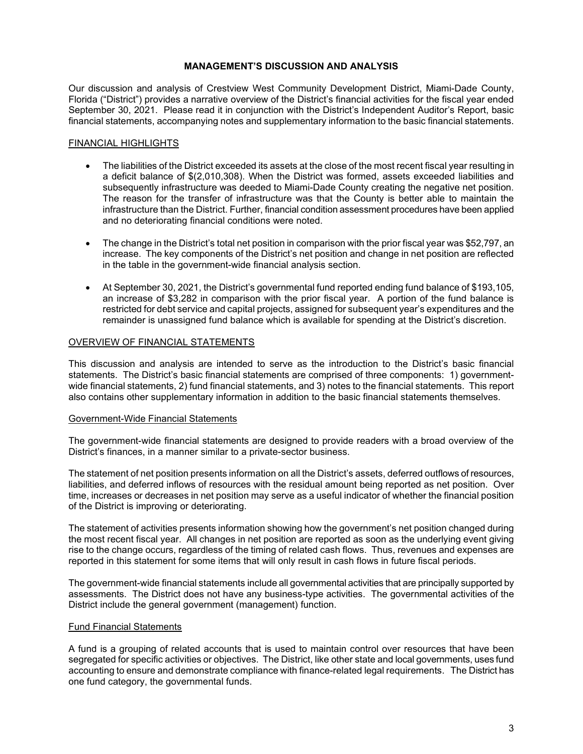## **MANAGEMENT'S DISCUSSION AND ANALYSIS**

Our discussion and analysis of Crestview West Community Development District, Miami-Dade County, Florida ("District") provides a narrative overview of the District's financial activities for the fiscal year ended September 30, 2021. Please read it in conjunction with the District's Independent Auditor's Report, basic financial statements, accompanying notes and supplementary information to the basic financial statements.

### FINANCIAL HIGHLIGHTS

- The liabilities of the District exceeded its assets at the close of the most recent fiscal year resulting in a deficit balance of \$(2,010,308). When the District was formed, assets exceeded liabilities and subsequently infrastructure was deeded to Miami-Dade County creating the negative net position. The reason for the transfer of infrastructure was that the County is better able to maintain the infrastructure than the District. Further, financial condition assessment procedures have been applied and no deteriorating financial conditions were noted.
- The change in the District's total net position in comparison with the prior fiscal year was \$52,797, an increase. The key components of the District's net position and change in net position are reflected in the table in the government-wide financial analysis section.
- At September 30, 2021, the District's governmental fund reported ending fund balance of \$193,105, an increase of \$3,282 in comparison with the prior fiscal year. A portion of the fund balance is restricted for debt service and capital projects, assigned for subsequent year's expenditures and the remainder is unassigned fund balance which is available for spending at the District's discretion.

### OVERVIEW OF FINANCIAL STATEMENTS

This discussion and analysis are intended to serve as the introduction to the District's basic financial statements. The District's basic financial statements are comprised of three components: 1) governmentwide financial statements, 2) fund financial statements, and 3) notes to the financial statements. This report also contains other supplementary information in addition to the basic financial statements themselves.

### Government-Wide Financial Statements

The government-wide financial statements are designed to provide readers with a broad overview of the District's finances, in a manner similar to a private-sector business.

The statement of net position presents information on all the District's assets, deferred outflows of resources, liabilities, and deferred inflows of resources with the residual amount being reported as net position. Over time, increases or decreases in net position may serve as a useful indicator of whether the financial position of the District is improving or deteriorating.

The statement of activities presents information showing how the government's net position changed during the most recent fiscal year. All changes in net position are reported as soon as the underlying event giving rise to the change occurs, regardless of the timing of related cash flows. Thus, revenues and expenses are reported in this statement for some items that will only result in cash flows in future fiscal periods.

The government-wide financial statements include all governmental activities that are principally supported by assessments. The District does not have any business-type activities. The governmental activities of the District include the general government (management) function.

### Fund Financial Statements

A fund is a grouping of related accounts that is used to maintain control over resources that have been segregated for specific activities or objectives. The District, like other state and local governments, uses fund accounting to ensure and demonstrate compliance with finance-related legal requirements. The District has one fund category, the governmental funds.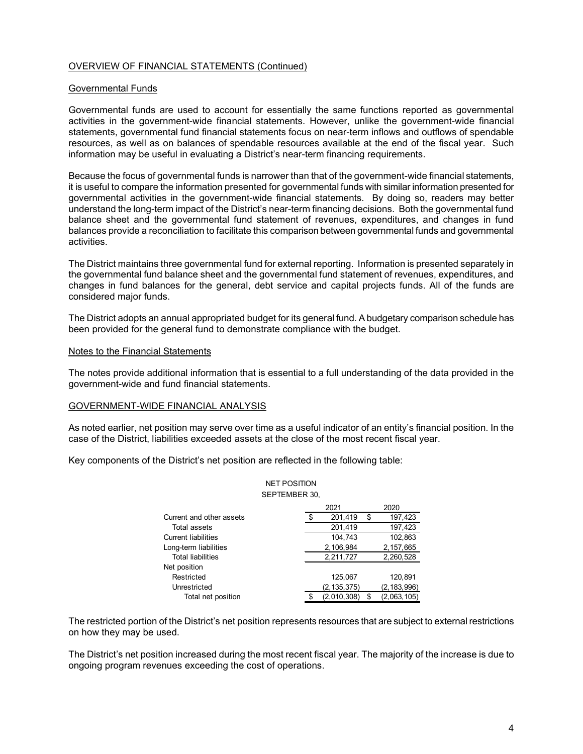## OVERVIEW OF FINANCIAL STATEMENTS (Continued)

#### Governmental Funds

Governmental funds are used to account for essentially the same functions reported as governmental activities in the government-wide financial statements. However, unlike the government-wide financial statements, governmental fund financial statements focus on near-term inflows and outflows of spendable resources, as well as on balances of spendable resources available at the end of the fiscal year. Such information may be useful in evaluating a District's near-term financing requirements.

Because the focus of governmental funds is narrower than that of the government-wide financial statements, it is useful to compare the information presented for governmental funds with similar information presented for governmental activities in the government-wide financial statements. By doing so, readers may better understand the long-term impact of the District's near-term financing decisions. Both the governmental fund balance sheet and the governmental fund statement of revenues, expenditures, and changes in fund balances provide a reconciliation to facilitate this comparison between governmental funds and governmental activities.

The District maintains three governmental fund for external reporting. Information is presented separately in the governmental fund balance sheet and the governmental fund statement of revenues, expenditures, and changes in fund balances for the general, debt service and capital projects funds. All of the funds are considered major funds.

The District adopts an annual appropriated budget for its general fund. A budgetary comparison schedule has been provided for the general fund to demonstrate compliance with the budget.

#### Notes to the Financial Statements

The notes provide additional information that is essential to a full understanding of the data provided in the government-wide and fund financial statements.

#### GOVERNMENT-WIDE FINANCIAL ANALYSIS

As noted earlier, net position may serve over time as a useful indicator of an entity's financial position. In the case of the District, liabilities exceeded assets at the close of the most recent fiscal year.

Key components of the District's net position are reflected in the following table:

#### NET POSITION SEPTEMBER 30,

|                            | 2021 |               |    | 2020          |
|----------------------------|------|---------------|----|---------------|
| Current and other assets   |      | 201,419       | \$ | 197,423       |
| Total assets               |      | 201,419       |    | 197,423       |
| <b>Current liabilities</b> |      | 104,743       |    | 102,863       |
| Long-term liabilities      |      | 2,106,984     |    | 2,157,665     |
| <b>Total liabilities</b>   |      | 2,211,727     |    | 2,260,528     |
| Net position               |      |               |    |               |
| Restricted                 |      | 125.067       |    | 120.891       |
| Unrestricted               |      | (2, 135, 375) |    | (2, 183, 996) |
| Total net position         |      | (2,010,308)   | \$ | (2,063,105)   |

The restricted portion of the District's net position represents resources that are subject to external restrictions on how they may be used.

The District's net position increased during the most recent fiscal year. The majority of the increase is due to ongoing program revenues exceeding the cost of operations.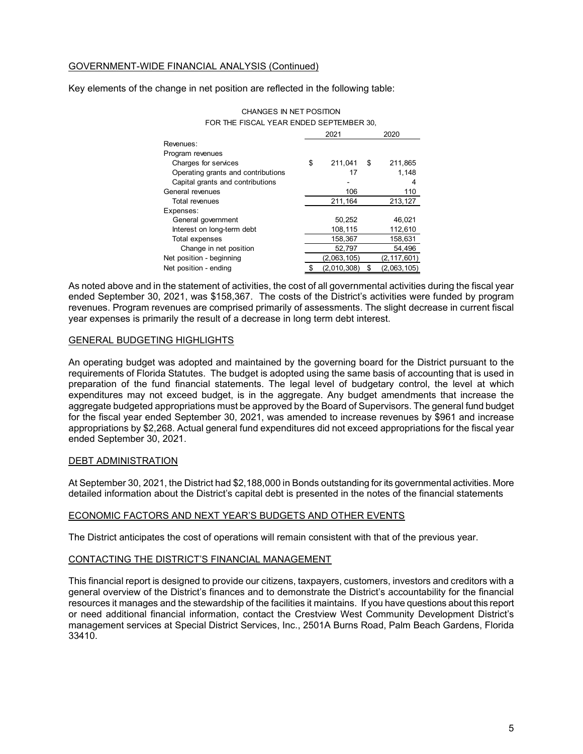## GOVERNMENT-WIDE FINANCIAL ANALYSIS (Continued)

Key elements of the change in net position are reflected in the following table:

| FOR THE FISCAL YEAR ENDED SEPTEMBER 30, |    |             |      |             |  |  |  |  |  |
|-----------------------------------------|----|-------------|------|-------------|--|--|--|--|--|
|                                         |    | 2021        | 2020 |             |  |  |  |  |  |
| Revenues:                               |    |             |      |             |  |  |  |  |  |
| Program revenues                        |    |             |      |             |  |  |  |  |  |
| Charges for services                    | \$ | 211,041     | S    | 211,865     |  |  |  |  |  |
| Operating grants and contributions      |    | 17          |      | 1,148       |  |  |  |  |  |
| Capital grants and contributions        |    |             |      | 4           |  |  |  |  |  |
| General revenues                        |    | 106         |      | 110         |  |  |  |  |  |
| Total revenues                          |    | 211,164     |      | 213,127     |  |  |  |  |  |
| Expenses:                               |    |             |      |             |  |  |  |  |  |
| General government                      |    | 50,252      |      | 46,021      |  |  |  |  |  |
| Interest on long-term debt              |    | 108,115     |      | 112,610     |  |  |  |  |  |
| Total expenses                          |    | 158,367     |      | 158,631     |  |  |  |  |  |
| Change in net position                  |    | 52,797      |      | 54,496      |  |  |  |  |  |
| Net position - beginning                |    | (2,063,105) |      | (2,117,601) |  |  |  |  |  |
| Net position - ending                   | \$ | (2,010,308) | \$   | (2,063,105) |  |  |  |  |  |

CHANGES IN NET POSITION

As noted above and in the statement of activities, the cost of all governmental activities during the fiscal year ended September 30, 2021, was \$158,367. The costs of the District's activities were funded by program revenues. Program revenues are comprised primarily of assessments. The slight decrease in current fiscal year expenses is primarily the result of a decrease in long term debt interest.

### GENERAL BUDGETING HIGHLIGHTS

An operating budget was adopted and maintained by the governing board for the District pursuant to the requirements of Florida Statutes. The budget is adopted using the same basis of accounting that is used in preparation of the fund financial statements. The legal level of budgetary control, the level at which expenditures may not exceed budget, is in the aggregate. Any budget amendments that increase the aggregate budgeted appropriations must be approved by the Board of Supervisors. The general fund budget for the fiscal year ended September 30, 2021, was amended to increase revenues by \$961 and increase appropriations by \$2,268. Actual general fund expenditures did not exceed appropriations for the fiscal year ended September 30, 2021.

### DEBT ADMINISTRATION

At September 30, 2021, the District had \$2,188,000 in Bonds outstanding for its governmental activities. More detailed information about the District's capital debt is presented in the notes of the financial statements

### ECONOMIC FACTORS AND NEXT YEAR'S BUDGETS AND OTHER EVENTS

The District anticipates the cost of operations will remain consistent with that of the previous year.

### CONTACTING THE DISTRICT'S FINANCIAL MANAGEMENT

This financial report is designed to provide our citizens, taxpayers, customers, investors and creditors with a general overview of the District's finances and to demonstrate the District's accountability for the financial resources it manages and the stewardship of the facilities it maintains. If you have questions about this report or need additional financial information, contact the Crestview West Community Development District's management services at Special District Services, Inc., 2501A Burns Road, Palm Beach Gardens, Florida 33410.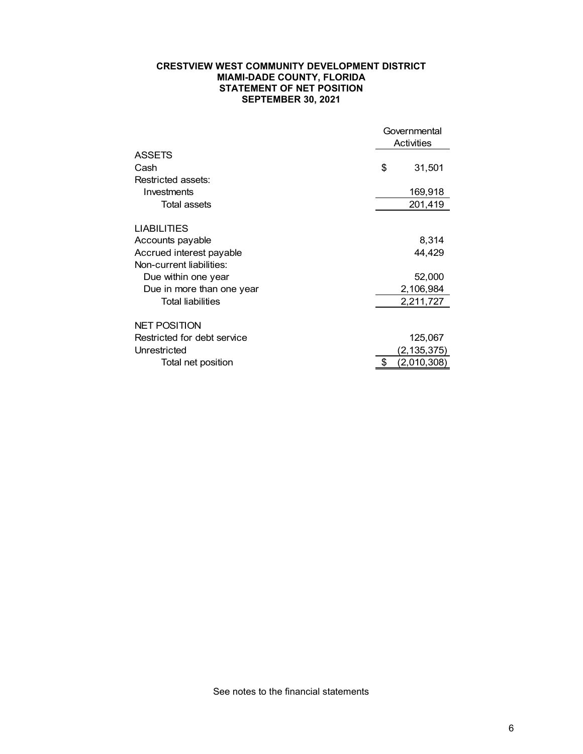### **CRESTVIEW WEST COMMUNITY DEVELOPMENT DISTRICT MIAMI-DADE COUNTY, FLORIDA STATEMENT OF NET POSITION SEPTEMBER 30, 2021**

|                             |    | Governmental<br>Activities |
|-----------------------------|----|----------------------------|
| <b>ASSETS</b>               |    |                            |
| Cash                        | \$ | 31,501                     |
| Restricted assets:          |    |                            |
| Investments                 |    | 169,918                    |
| Total assets                |    | 201,419                    |
| <b>LIABILITIES</b>          |    |                            |
| Accounts payable            |    | 8,314                      |
| Accrued interest payable    |    | 44,429                     |
| Non-current liabilities:    |    |                            |
| Due within one year         |    | 52,000                     |
| Due in more than one year   |    | 2,106,984                  |
| <b>Total liabilities</b>    |    | 2,211,727                  |
| <b>NET POSITION</b>         |    |                            |
| Restricted for debt service |    | 125,067                    |
| Unrestricted                |    | (2,135,375)                |
| Total net position          | S  | (2,010,308)                |

See notes to the financial statements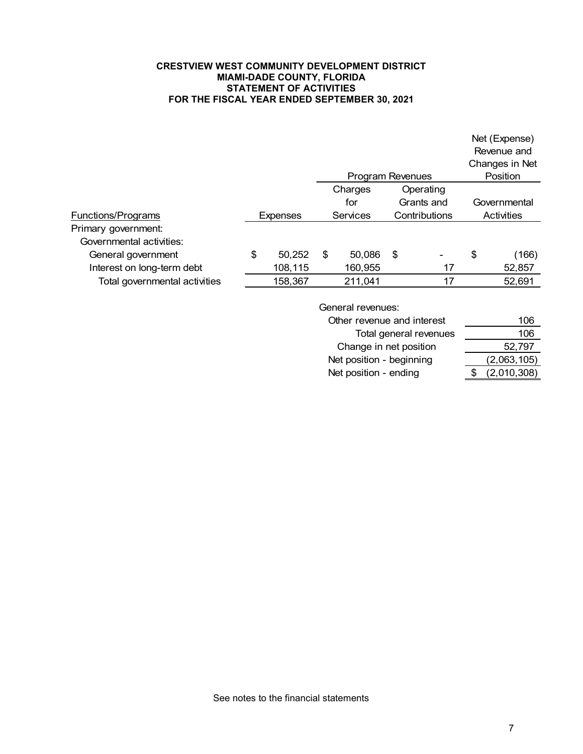### **CRESTVIEW WEST COMMUNITY DEVELOPMENT DISTRICT MIAMI-DADE COUNTY, FLORIDA STATEMENT OF ACTIVITIES FOR THE FISCAL YEAR ENDED SEPTEMBER 30, 2021**

|                               |         |                 |    |                  |               |                |    | Net (Expense)<br>Revenue and<br>Changes in Net |
|-------------------------------|---------|-----------------|----|------------------|---------------|----------------|----|------------------------------------------------|
|                               |         |                 |    | Program Revenues |               |                |    | Position                                       |
|                               | Charges |                 |    |                  |               | Operating      |    |                                                |
|                               |         |                 |    | for              | Governmental  |                |    |                                                |
| Functions/Programs            |         | <b>Expenses</b> |    | Services         | Contributions |                |    | Activities                                     |
| Primary government:           |         |                 |    |                  |               |                |    |                                                |
| Governmental activities:      |         |                 |    |                  |               |                |    |                                                |
| General government            | \$      | 50,252          | \$ | 50,086           | \$            | $\blacksquare$ | \$ | (166)                                          |
| Interest on long-term debt    |         | 108,115         |    | 160,955          |               | 17             |    | 52,857                                         |
| Total governmental activities |         | 158,367         |    | 211,041          |               | 17             |    | 52,691                                         |

General revenues:

| Other revenue and interest | 106         |
|----------------------------|-------------|
| Total general revenues     | 106         |
| Change in net position     | 52,797      |
| Net position - beginning   | (2,063,105) |
| Net position - ending      | (2,010,308) |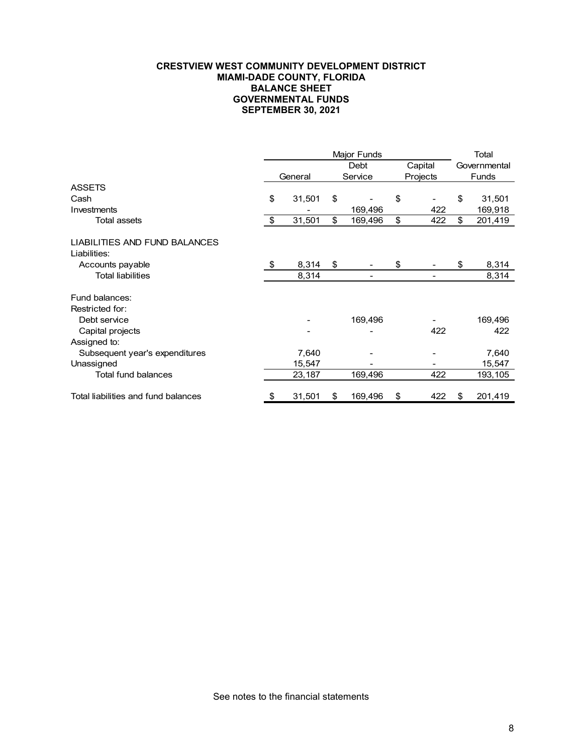#### **CRESTVIEW WEST COMMUNITY DEVELOPMENT DISTRICT MIAMI-DADE COUNTY, FLORIDA BALANCE SHEET GOVERNMENTAL FUNDS SEPTEMBER 30, 2021**

|                                     | <b>Major Funds</b> |         |    |                |         |          |              | Total        |
|-------------------------------------|--------------------|---------|----|----------------|---------|----------|--------------|--------------|
|                                     |                    |         |    | Debt           | Capital |          | Governmental |              |
|                                     |                    | General |    | Service        |         | Projects |              | <b>Funds</b> |
| <b>ASSETS</b>                       |                    |         |    |                |         |          |              |              |
| Cash                                | \$                 | 31,501  | \$ |                | \$      |          | \$           | 31,501       |
| Investments                         |                    |         |    | 169,496        |         | 422      |              | 169,918      |
| <b>Total assets</b>                 | \$                 | 31,501  | \$ | 169,496        | \$      | 422      | \$           | 201,419      |
| LIABILITIES AND FUND BALANCES       |                    |         |    |                |         |          |              |              |
| Liabilities:                        |                    |         |    |                |         |          |              |              |
| Accounts payable                    | \$                 | 8,314   | \$ |                | \$      |          | \$           | 8,314        |
| <b>Total liabilities</b>            |                    | 8,314   |    | $\overline{a}$ |         |          |              | 8,314        |
| Fund balances:                      |                    |         |    |                |         |          |              |              |
| Restricted for:                     |                    |         |    |                |         |          |              |              |
| Debt service                        |                    |         |    | 169,496        |         |          |              | 169,496      |
| Capital projects                    |                    |         |    |                |         | 422      |              | 422          |
| Assigned to:                        |                    |         |    |                |         |          |              |              |
| Subsequent year's expenditures      |                    | 7,640   |    |                |         |          |              | 7,640        |
| Unassigned                          |                    | 15,547  |    |                |         |          |              | 15,547       |
| Total fund balances                 |                    | 23,187  |    | 169,496        |         | 422      |              | 193,105      |
| Total liabilities and fund balances | \$                 | 31,501  | \$ | 169,496        | \$      | 422      | S            | 201,419      |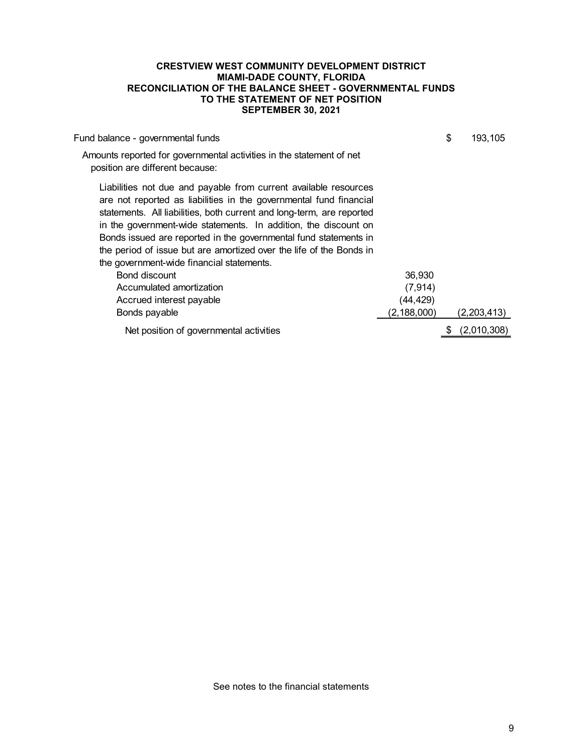#### **CRESTVIEW WEST COMMUNITY DEVELOPMENT DISTRICT MIAMI-DADE COUNTY, FLORIDA RECONCILIATION OF THE BALANCE SHEET - GOVERNMENTAL FUNDS TO THE STATEMENT OF NET POSITION SEPTEMBER 30, 2021**

| Fund balance - governmental funds                                                                                                                                                                                                                                                                                                                                                                                                                                          |               | \$<br>193,105 |
|----------------------------------------------------------------------------------------------------------------------------------------------------------------------------------------------------------------------------------------------------------------------------------------------------------------------------------------------------------------------------------------------------------------------------------------------------------------------------|---------------|---------------|
| Amounts reported for governmental activities in the statement of net<br>position are different because:                                                                                                                                                                                                                                                                                                                                                                    |               |               |
| Liabilities not due and payable from current available resources<br>are not reported as liabilities in the governmental fund financial<br>statements. All liabilities, both current and long-term, are reported<br>in the government-wide statements. In addition, the discount on<br>Bonds issued are reported in the governmental fund statements in<br>the period of issue but are amortized over the life of the Bonds in<br>the government-wide financial statements. |               |               |
| Bond discount                                                                                                                                                                                                                                                                                                                                                                                                                                                              | 36,930        |               |
| Accumulated amortization                                                                                                                                                                                                                                                                                                                                                                                                                                                   | (7, 914)      |               |
| Accrued interest payable                                                                                                                                                                                                                                                                                                                                                                                                                                                   | (44,429)      |               |
| Bonds payable                                                                                                                                                                                                                                                                                                                                                                                                                                                              | (2, 188, 000) | (2,203,413)   |
| Net position of governmental activities                                                                                                                                                                                                                                                                                                                                                                                                                                    |               | (2,010,308)   |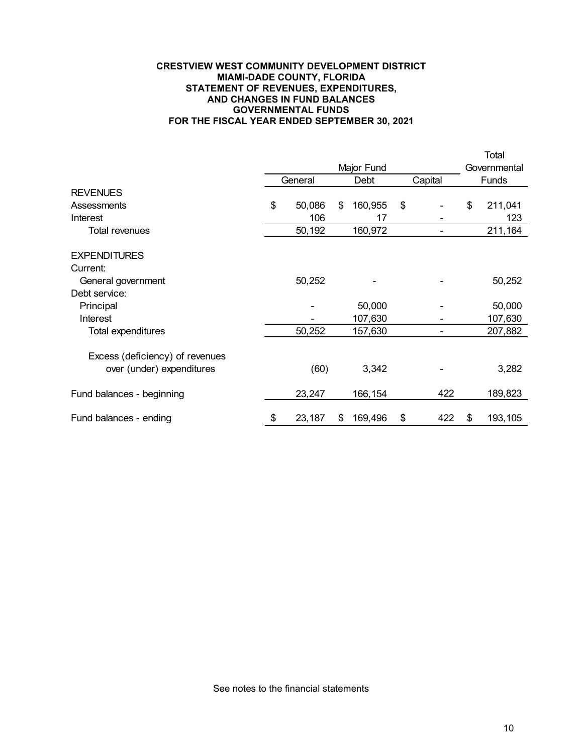#### **CRESTVIEW WEST COMMUNITY DEVELOPMENT DISTRICT MIAMI-DADE COUNTY, FLORIDA STATEMENT OF REVENUES, EXPENDITURES, AND CHANGES IN FUND BALANCES GOVERNMENTAL FUNDS FOR THE FISCAL YEAR ENDED SEPTEMBER 30, 2021**

|                                 |              |               |           |              | Total        |
|---------------------------------|--------------|---------------|-----------|--------------|--------------|
|                                 |              | Major Fund    |           | Governmental |              |
|                                 | General      | Debt          | Capital   |              | <b>Funds</b> |
| <b>REVENUES</b>                 |              |               |           |              |              |
| Assessments                     | \$<br>50,086 | \$<br>160,955 | \$        | \$           | 211,041      |
| Interest                        | 106          | 17            |           |              | 123          |
| Total revenues                  | 50,192       | 160,972       |           |              | 211,164      |
| <b>EXPENDITURES</b>             |              |               |           |              |              |
| Current:                        |              |               |           |              |              |
| General government              | 50,252       |               |           |              | 50,252       |
| Debt service:                   |              |               |           |              |              |
| Principal                       |              | 50,000        |           |              | 50,000       |
| Interest                        |              | 107,630       |           |              | 107,630      |
| Total expenditures              | 50,252       | 157,630       |           |              | 207,882      |
| Excess (deficiency) of revenues |              |               |           |              |              |
| over (under) expenditures       | (60)         | 3,342         |           |              | 3,282        |
| Fund balances - beginning       | 23,247       | 166,154       | 422       |              | 189,823      |
| Fund balances - ending          | \$<br>23,187 | \$<br>169,496 | \$<br>422 | S            | 193,105      |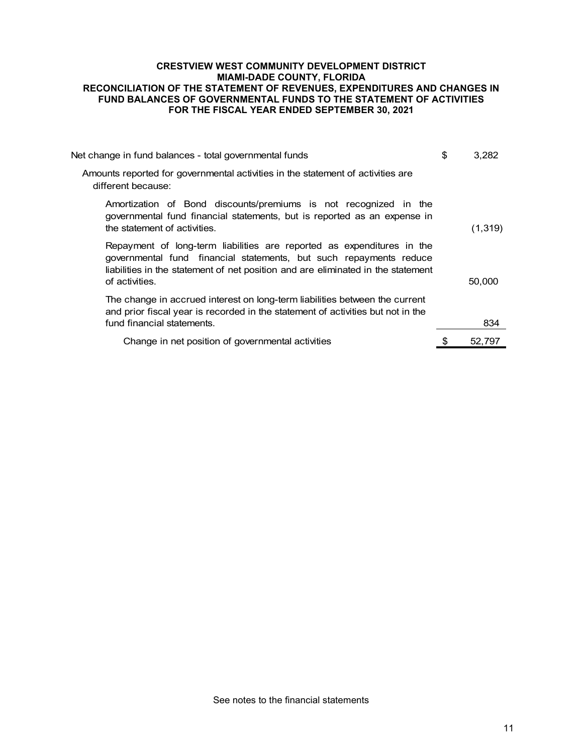### **CRESTVIEW WEST COMMUNITY DEVELOPMENT DISTRICT MIAMI-DADE COUNTY, FLORIDA RECONCILIATION OF THE STATEMENT OF REVENUES, EXPENDITURES AND CHANGES IN FUND BALANCES OF GOVERNMENTAL FUNDS TO THE STATEMENT OF ACTIVITIES FOR THE FISCAL YEAR ENDED SEPTEMBER 30, 2021**

| Net change in fund balances - total governmental funds                                                                                                                                                                                             | \$<br>3.282 |
|----------------------------------------------------------------------------------------------------------------------------------------------------------------------------------------------------------------------------------------------------|-------------|
| Amounts reported for governmental activities in the statement of activities are<br>different because:                                                                                                                                              |             |
| Amortization of Bond discounts/premiums is not recognized in the<br>governmental fund financial statements, but is reported as an expense in<br>the statement of activities.                                                                       | (1, 319)    |
| Repayment of long-term liabilities are reported as expenditures in the<br>governmental fund financial statements, but such repayments reduce<br>liabilities in the statement of net position and are eliminated in the statement<br>of activities. | 50,000      |
| The change in accrued interest on long-term liabilities between the current<br>and prior fiscal year is recorded in the statement of activities but not in the<br>fund financial statements.                                                       | 834         |
| Change in net position of governmental activities                                                                                                                                                                                                  | 52,797      |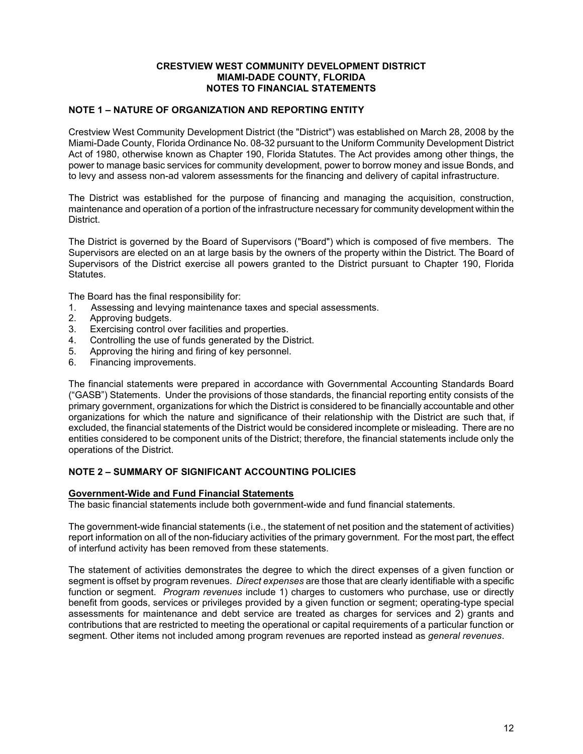#### **CRESTVIEW WEST COMMUNITY DEVELOPMENT DISTRICT MIAMI-DADE COUNTY, FLORIDA NOTES TO FINANCIAL STATEMENTS**

## **NOTE 1 – NATURE OF ORGANIZATION AND REPORTING ENTITY**

Crestview West Community Development District (the "District") was established on March 28, 2008 by the Miami-Dade County, Florida Ordinance No. 08-32 pursuant to the Uniform Community Development District Act of 1980, otherwise known as Chapter 190, Florida Statutes. The Act provides among other things, the power to manage basic services for community development, power to borrow money and issue Bonds, and to levy and assess non-ad valorem assessments for the financing and delivery of capital infrastructure.

The District was established for the purpose of financing and managing the acquisition, construction, maintenance and operation of a portion of the infrastructure necessary for community development within the District.

The District is governed by the Board of Supervisors ("Board") which is composed of five members. The Supervisors are elected on an at large basis by the owners of the property within the District. The Board of Supervisors of the District exercise all powers granted to the District pursuant to Chapter 190, Florida Statutes.

The Board has the final responsibility for:

- 1. Assessing and levying maintenance taxes and special assessments.
- 2. Approving budgets.
- 3. Exercising control over facilities and properties.
- Controlling the use of funds generated by the District.
- 5. Approving the hiring and firing of key personnel.
- 6. Financing improvements.

The financial statements were prepared in accordance with Governmental Accounting Standards Board ("GASB") Statements. Under the provisions of those standards, the financial reporting entity consists of the primary government, organizations for which the District is considered to be financially accountable and other organizations for which the nature and significance of their relationship with the District are such that, if excluded, the financial statements of the District would be considered incomplete or misleading. There are no entities considered to be component units of the District; therefore, the financial statements include only the operations of the District.

# **NOTE 2 – SUMMARY OF SIGNIFICANT ACCOUNTING POLICIES**

### **Government-Wide and Fund Financial Statements**

The basic financial statements include both government-wide and fund financial statements.

The government-wide financial statements (i.e., the statement of net position and the statement of activities) report information on all of the non-fiduciary activities of the primary government. For the most part, the effect of interfund activity has been removed from these statements.

The statement of activities demonstrates the degree to which the direct expenses of a given function or segment is offset by program revenues. *Direct expenses* are those that are clearly identifiable with a specific function or segment. *Program revenues* include 1) charges to customers who purchase, use or directly benefit from goods, services or privileges provided by a given function or segment; operating-type special assessments for maintenance and debt service are treated as charges for services and 2) grants and contributions that are restricted to meeting the operational or capital requirements of a particular function or segment. Other items not included among program revenues are reported instead as *general revenues*.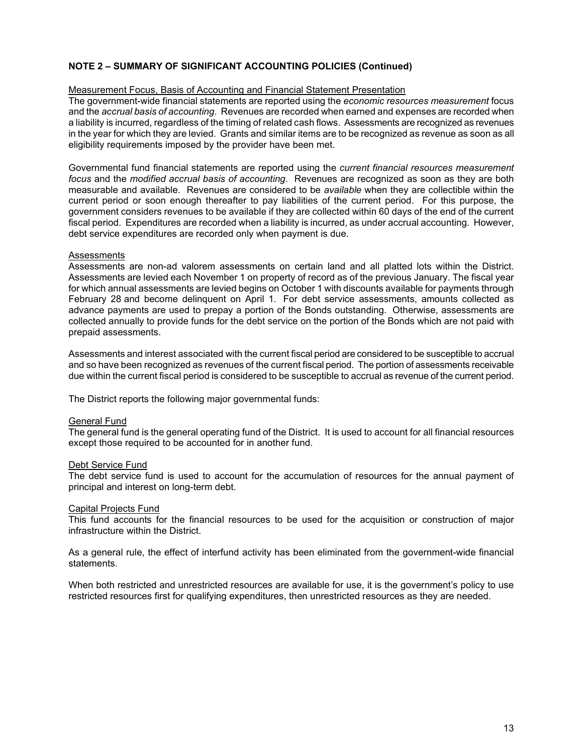### Measurement Focus, Basis of Accounting and Financial Statement Presentation

The government-wide financial statements are reported using the *economic resources measurement* focus and the *accrual basis of accounting*. Revenues are recorded when earned and expenses are recorded when a liability is incurred, regardless of the timing of related cash flows. Assessments are recognized as revenues in the year for which they are levied. Grants and similar items are to be recognized as revenue as soon as all eligibility requirements imposed by the provider have been met.

Governmental fund financial statements are reported using the *current financial resources measurement focus* and the *modified accrual basis of accounting*. Revenues are recognized as soon as they are both measurable and available. Revenues are considered to be *available* when they are collectible within the current period or soon enough thereafter to pay liabilities of the current period. For this purpose, the government considers revenues to be available if they are collected within 60 days of the end of the current fiscal period. Expenditures are recorded when a liability is incurred, as under accrual accounting. However, debt service expenditures are recorded only when payment is due.

#### **Assessments**

Assessments are non-ad valorem assessments on certain land and all platted lots within the District. Assessments are levied each November 1 on property of record as of the previous January. The fiscal year for which annual assessments are levied begins on October 1 with discounts available for payments through February 28 and become delinquent on April 1. For debt service assessments, amounts collected as advance payments are used to prepay a portion of the Bonds outstanding. Otherwise, assessments are collected annually to provide funds for the debt service on the portion of the Bonds which are not paid with prepaid assessments.

Assessments and interest associated with the current fiscal period are considered to be susceptible to accrual and so have been recognized as revenues of the current fiscal period. The portion of assessments receivable due within the current fiscal period is considered to be susceptible to accrual as revenue of the current period.

The District reports the following major governmental funds:

### General Fund

The general fund is the general operating fund of the District. It is used to account for all financial resources except those required to be accounted for in another fund.

#### Debt Service Fund

The debt service fund is used to account for the accumulation of resources for the annual payment of principal and interest on long-term debt.

#### Capital Projects Fund

This fund accounts for the financial resources to be used for the acquisition or construction of major infrastructure within the District.

As a general rule, the effect of interfund activity has been eliminated from the government-wide financial statements.

When both restricted and unrestricted resources are available for use, it is the government's policy to use restricted resources first for qualifying expenditures, then unrestricted resources as they are needed.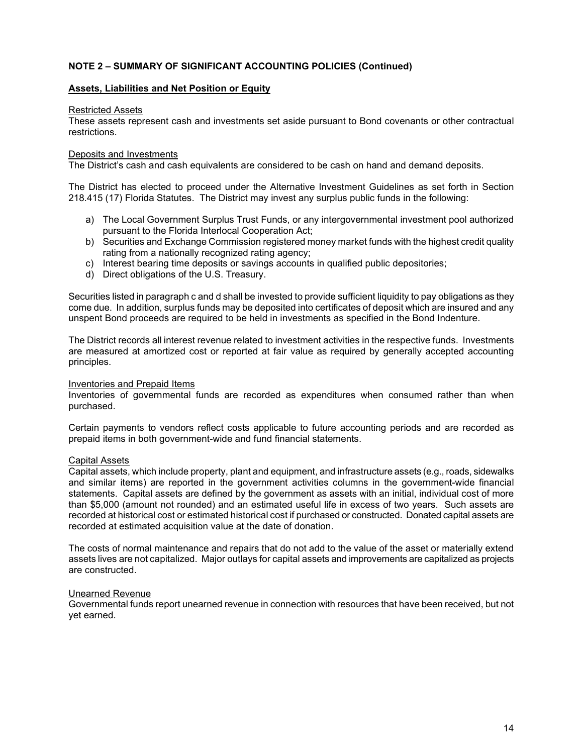### **Assets, Liabilities and Net Position or Equity**

#### Restricted Assets

These assets represent cash and investments set aside pursuant to Bond covenants or other contractual restrictions.

#### Deposits and Investments

The District's cash and cash equivalents are considered to be cash on hand and demand deposits.

The District has elected to proceed under the Alternative Investment Guidelines as set forth in Section 218.415 (17) Florida Statutes. The District may invest any surplus public funds in the following:

- a) The Local Government Surplus Trust Funds, or any intergovernmental investment pool authorized pursuant to the Florida Interlocal Cooperation Act;
- b) Securities and Exchange Commission registered money market funds with the highest credit quality rating from a nationally recognized rating agency;
- c) Interest bearing time deposits or savings accounts in qualified public depositories;
- d) Direct obligations of the U.S. Treasury.

Securities listed in paragraph c and d shall be invested to provide sufficient liquidity to pay obligations as they come due. In addition, surplus funds may be deposited into certificates of deposit which are insured and any unspent Bond proceeds are required to be held in investments as specified in the Bond Indenture.

The District records all interest revenue related to investment activities in the respective funds. Investments are measured at amortized cost or reported at fair value as required by generally accepted accounting principles.

### Inventories and Prepaid Items

Inventories of governmental funds are recorded as expenditures when consumed rather than when purchased.

Certain payments to vendors reflect costs applicable to future accounting periods and are recorded as prepaid items in both government-wide and fund financial statements.

### Capital Assets

Capital assets, which include property, plant and equipment, and infrastructure assets (e.g., roads, sidewalks and similar items) are reported in the government activities columns in the government-wide financial statements. Capital assets are defined by the government as assets with an initial, individual cost of more than \$5,000 (amount not rounded) and an estimated useful life in excess of two years. Such assets are recorded at historical cost or estimated historical cost if purchased or constructed. Donated capital assets are recorded at estimated acquisition value at the date of donation.

The costs of normal maintenance and repairs that do not add to the value of the asset or materially extend assets lives are not capitalized. Major outlays for capital assets and improvements are capitalized as projects are constructed.

#### Unearned Revenue

Governmental funds report unearned revenue in connection with resources that have been received, but not yet earned.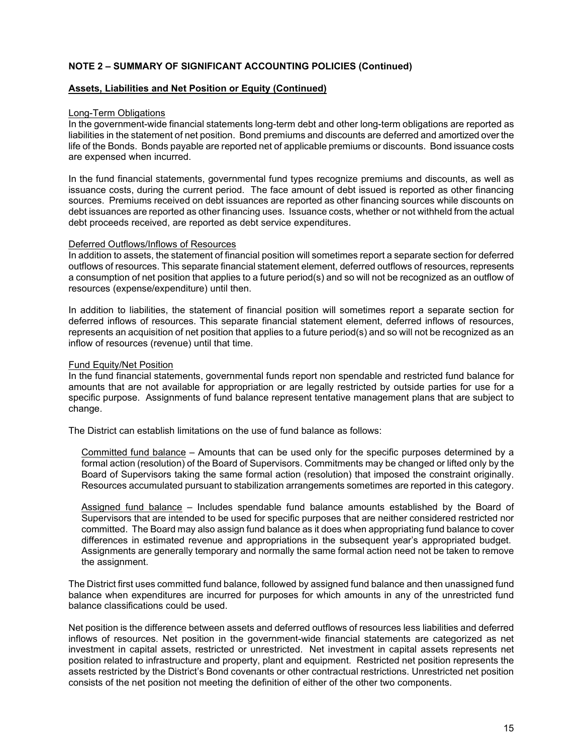#### **Assets, Liabilities and Net Position or Equity (Continued)**

#### Long-Term Obligations

In the government-wide financial statements long-term debt and other long-term obligations are reported as liabilities in the statement of net position. Bond premiums and discounts are deferred and amortized over the life of the Bonds. Bonds payable are reported net of applicable premiums or discounts. Bond issuance costs are expensed when incurred.

In the fund financial statements, governmental fund types recognize premiums and discounts, as well as issuance costs, during the current period. The face amount of debt issued is reported as other financing sources. Premiums received on debt issuances are reported as other financing sources while discounts on debt issuances are reported as other financing uses. Issuance costs, whether or not withheld from the actual debt proceeds received, are reported as debt service expenditures.

#### Deferred Outflows/Inflows of Resources

In addition to assets, the statement of financial position will sometimes report a separate section for deferred outflows of resources. This separate financial statement element, deferred outflows of resources, represents a consumption of net position that applies to a future period(s) and so will not be recognized as an outflow of resources (expense/expenditure) until then.

In addition to liabilities, the statement of financial position will sometimes report a separate section for deferred inflows of resources. This separate financial statement element, deferred inflows of resources, represents an acquisition of net position that applies to a future period(s) and so will not be recognized as an inflow of resources (revenue) until that time.

#### Fund Equity/Net Position

In the fund financial statements, governmental funds report non spendable and restricted fund balance for amounts that are not available for appropriation or are legally restricted by outside parties for use for a specific purpose. Assignments of fund balance represent tentative management plans that are subject to change.

The District can establish limitations on the use of fund balance as follows:

Committed fund balance – Amounts that can be used only for the specific purposes determined by a formal action (resolution) of the Board of Supervisors. Commitments may be changed or lifted only by the Board of Supervisors taking the same formal action (resolution) that imposed the constraint originally. Resources accumulated pursuant to stabilization arrangements sometimes are reported in this category.

Assigned fund balance – Includes spendable fund balance amounts established by the Board of Supervisors that are intended to be used for specific purposes that are neither considered restricted nor committed. The Board may also assign fund balance as it does when appropriating fund balance to cover differences in estimated revenue and appropriations in the subsequent year's appropriated budget. Assignments are generally temporary and normally the same formal action need not be taken to remove the assignment.

The District first uses committed fund balance, followed by assigned fund balance and then unassigned fund balance when expenditures are incurred for purposes for which amounts in any of the unrestricted fund balance classifications could be used.

Net position is the difference between assets and deferred outflows of resources less liabilities and deferred inflows of resources. Net position in the government-wide financial statements are categorized as net investment in capital assets, restricted or unrestricted. Net investment in capital assets represents net position related to infrastructure and property, plant and equipment. Restricted net position represents the assets restricted by the District's Bond covenants or other contractual restrictions. Unrestricted net position consists of the net position not meeting the definition of either of the other two components.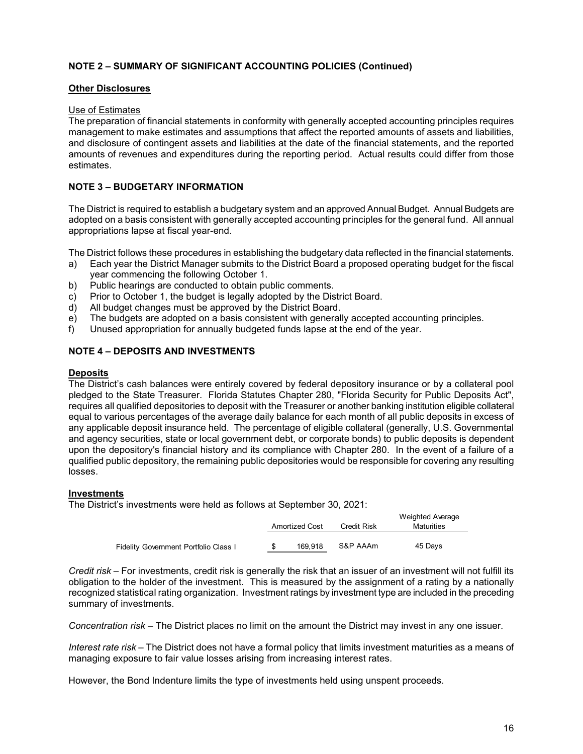### **Other Disclosures**

### Use of Estimates

The preparation of financial statements in conformity with generally accepted accounting principles requires management to make estimates and assumptions that affect the reported amounts of assets and liabilities, and disclosure of contingent assets and liabilities at the date of the financial statements, and the reported amounts of revenues and expenditures during the reporting period. Actual results could differ from those estimates.

## **NOTE 3 – BUDGETARY INFORMATION**

The District is required to establish a budgetary system and an approved Annual Budget. Annual Budgets are adopted on a basis consistent with generally accepted accounting principles for the general fund. All annual appropriations lapse at fiscal year-end.

The District follows these procedures in establishing the budgetary data reflected in the financial statements.

- a) Each year the District Manager submits to the District Board a proposed operating budget for the fiscal year commencing the following October 1.
- b) Public hearings are conducted to obtain public comments.
- c) Prior to October 1, the budget is legally adopted by the District Board.
- d) All budget changes must be approved by the District Board.
- e) The budgets are adopted on a basis consistent with generally accepted accounting principles.
- f) Unused appropriation for annually budgeted funds lapse at the end of the year.

### **NOTE 4 – DEPOSITS AND INVESTMENTS**

#### **Deposits**

The District's cash balances were entirely covered by federal depository insurance or by a collateral pool pledged to the State Treasurer. Florida Statutes Chapter 280, "Florida Security for Public Deposits Act", requires all qualified depositories to deposit with the Treasurer or another banking institution eligible collateral equal to various percentages of the average daily balance for each month of all public deposits in excess of any applicable deposit insurance held. The percentage of eligible collateral (generally, U.S. Governmental and agency securities, state or local government debt, or corporate bonds) to public deposits is dependent upon the depository's financial history and its compliance with Chapter 280. In the event of a failure of a qualified public depository, the remaining public depositories would be responsible for covering any resulting losses.

#### **Investments**

The District's investments were held as follows at September 30, 2021:

|                                       |                       |                    | Weighted Average |
|---------------------------------------|-----------------------|--------------------|------------------|
|                                       | <b>Amortized Cost</b> | <b>Credit Risk</b> | Maturities       |
|                                       |                       |                    |                  |
| Fidelity Government Portfolio Class I | 169.918               | S&P AAAm           | 45 Days          |

*Credit risk –* For investments, credit risk is generally the risk that an issuer of an investment will not fulfill its obligation to the holder of the investment. This is measured by the assignment of a rating by a nationally recognized statistical rating organization. Investment ratings by investment type are included in the preceding summary of investments.

*Concentration risk –* The District places no limit on the amount the District may invest in any one issuer.

*Interest rate risk –* The District does not have a formal policy that limits investment maturities as a means of managing exposure to fair value losses arising from increasing interest rates.

However, the Bond Indenture limits the type of investments held using unspent proceeds.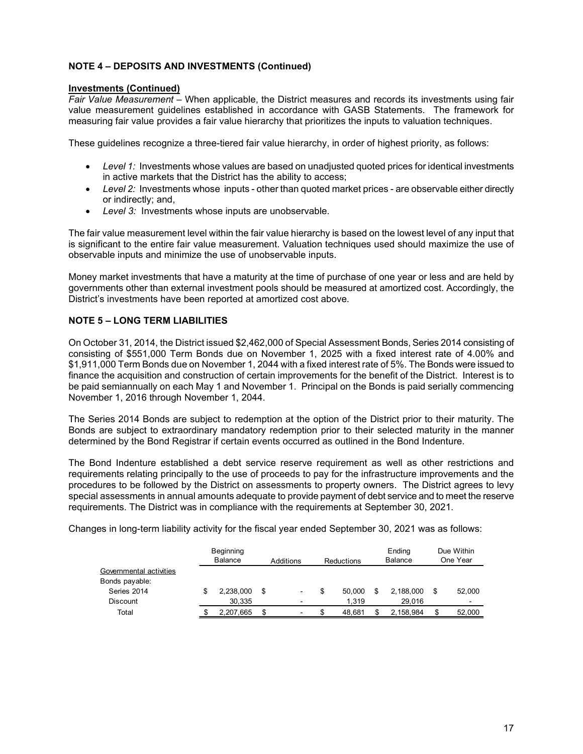# **NOTE 4 – DEPOSITS AND INVESTMENTS (Continued)**

### **Investments (Continued)**

*Fair Value Measurement –* When applicable, the District measures and records its investments using fair value measurement guidelines established in accordance with GASB Statements. The framework for measuring fair value provides a fair value hierarchy that prioritizes the inputs to valuation techniques.

These guidelines recognize a three-tiered fair value hierarchy, in order of highest priority, as follows:

- *Level 1:* Investments whose values are based on unadjusted quoted prices for identical investments in active markets that the District has the ability to access;
- Level 2: Investments whose inputs other than quoted market prices are observable either directly or indirectly; and,
- *Level 3:* Investments whose inputs are unobservable.

The fair value measurement level within the fair value hierarchy is based on the lowest level of any input that is significant to the entire fair value measurement. Valuation techniques used should maximize the use of observable inputs and minimize the use of unobservable inputs.

Money market investments that have a maturity at the time of purchase of one year or less and are held by governments other than external investment pools should be measured at amortized cost. Accordingly, the District's investments have been reported at amortized cost above.

# **NOTE 5 – LONG TERM LIABILITIES**

On October 31, 2014, the District issued \$2,462,000 of Special Assessment Bonds, Series 2014 consisting of consisting of \$551,000 Term Bonds due on November 1, 2025 with a fixed interest rate of 4.00% and \$1,911,000 Term Bonds due on November 1, 2044 with a fixed interest rate of 5%. The Bonds were issued to finance the acquisition and construction of certain improvements for the benefit of the District. Interest is to be paid semiannually on each May 1 and November 1. Principal on the Bonds is paid serially commencing November 1, 2016 through November 1, 2044.

The Series 2014 Bonds are subject to redemption at the option of the District prior to their maturity. The Bonds are subject to extraordinary mandatory redemption prior to their selected maturity in the manner determined by the Bond Registrar if certain events occurred as outlined in the Bond Indenture.

The Bond Indenture established a debt service reserve requirement as well as other restrictions and requirements relating principally to the use of proceeds to pay for the infrastructure improvements and the procedures to be followed by the District on assessments to property owners. The District agrees to levy special assessments in annual amounts adequate to provide payment of debt service and to meet the reserve requirements. The District was in compliance with the requirements at September 30, 2021.

Changes in long-term liability activity for the fiscal year ended September 30, 2021 was as follows:

|                         | Beginning<br>Balance |    | Additions                | <b>Reductions</b> |        | Ending<br>Balance |           |        |  |  |  | Due Within<br>One Year |
|-------------------------|----------------------|----|--------------------------|-------------------|--------|-------------------|-----------|--------|--|--|--|------------------------|
| Governmental activities |                      |    |                          |                   |        |                   |           |        |  |  |  |                        |
| Bonds payable:          |                      |    |                          |                   |        |                   |           |        |  |  |  |                        |
| Series 2014             | \$<br>2,238,000      | \$ | -                        |                   | 50.000 | S                 | 2.188.000 | 52,000 |  |  |  |                        |
| Discount                | 30,335               |    |                          |                   | 1.319  |                   | 29.016    |        |  |  |  |                        |
| Total                   | 2,207,665            | \$ | $\overline{\phantom{0}}$ |                   | 48.681 |                   | 2.158.984 | 52,000 |  |  |  |                        |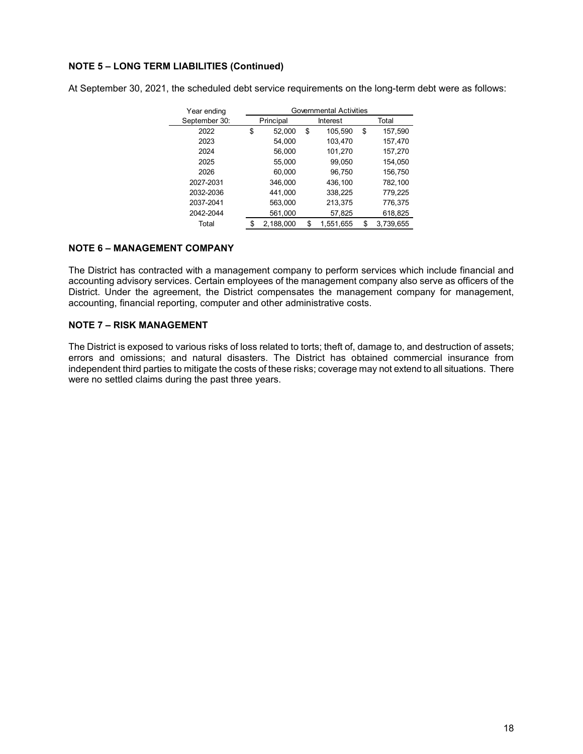# **NOTE 5 – LONG TERM LIABILITIES (Continued)**

At September 30, 2021, the scheduled debt service requirements on the long-term debt were as follows:

| Year ending   | <b>Governmental Activities</b> |           |    |           |       |           |  |  |
|---------------|--------------------------------|-----------|----|-----------|-------|-----------|--|--|
| September 30: |                                | Principal |    | Interest  | Total |           |  |  |
| 2022          | \$                             | 52,000    | \$ | 105,590   | \$    | 157,590   |  |  |
| 2023          |                                | 54,000    |    | 103,470   |       | 157,470   |  |  |
| 2024          |                                | 56,000    |    | 101,270   |       | 157,270   |  |  |
| 2025          |                                | 55,000    |    | 99,050    |       | 154,050   |  |  |
| 2026          |                                | 60,000    |    | 96,750    |       | 156,750   |  |  |
| 2027-2031     |                                | 346,000   |    | 436,100   |       | 782,100   |  |  |
| 2032-2036     |                                | 441.000   |    | 338,225   |       | 779,225   |  |  |
| 2037-2041     |                                | 563,000   |    | 213,375   |       | 776,375   |  |  |
| 2042-2044     |                                | 561,000   |    | 57,825    |       | 618,825   |  |  |
| Total         | \$                             | 2,188,000 | S  | 1,551,655 | \$    | 3,739,655 |  |  |

### **NOTE 6 – MANAGEMENT COMPANY**

The District has contracted with a management company to perform services which include financial and accounting advisory services. Certain employees of the management company also serve as officers of the District. Under the agreement, the District compensates the management company for management, accounting, financial reporting, computer and other administrative costs.

### **NOTE 7 – RISK MANAGEMENT**

The District is exposed to various risks of loss related to torts; theft of, damage to, and destruction of assets; errors and omissions; and natural disasters. The District has obtained commercial insurance from independent third parties to mitigate the costs of these risks; coverage may not extend to all situations. There were no settled claims during the past three years.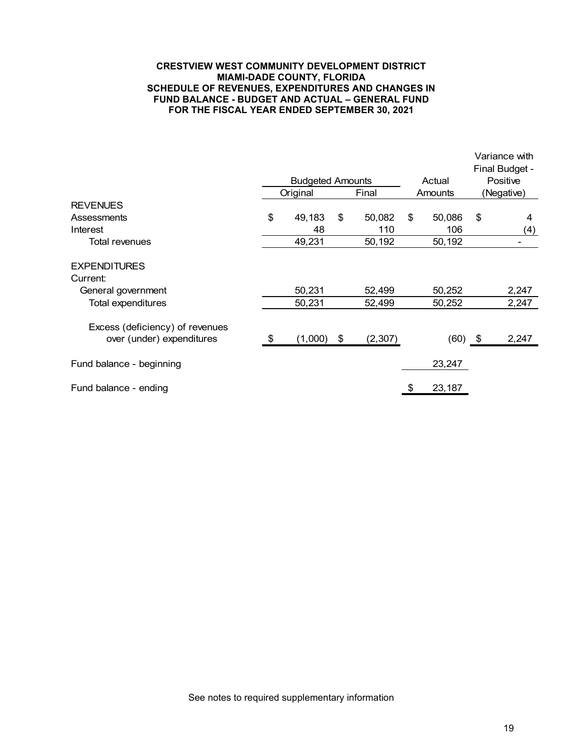#### **CRESTVIEW WEST COMMUNITY DEVELOPMENT DISTRICT MIAMI-DADE COUNTY, FLORIDA SCHEDULE OF REVENUES, EXPENDITURES AND CHANGES IN FUND BALANCE - BUDGET AND ACTUAL – GENERAL FUND FOR THE FISCAL YEAR ENDED SEPTEMBER 30, 2021**

|                                                              |                         |          |    |          |        |           |          | Variance with<br>Final Budget - |
|--------------------------------------------------------------|-------------------------|----------|----|----------|--------|-----------|----------|---------------------------------|
|                                                              | <b>Budgeted Amounts</b> |          |    |          | Actual |           | Positive |                                 |
|                                                              |                         | Original |    | Final    |        | Amounts   |          | (Negative)                      |
| <b>REVENUES</b>                                              |                         |          |    |          |        |           |          |                                 |
| Assessments                                                  | \$                      | 49,183   | \$ | 50,082   | \$     | 50,086    | \$       | 4                               |
| Interest                                                     |                         | 48       |    | 110      |        | 106       |          | (4)                             |
| Total revenues                                               |                         | 49,231   |    | 50,192   |        | 50,192    |          |                                 |
| <b>EXPENDITURES</b><br>Current:                              |                         |          |    |          |        |           |          |                                 |
| General government                                           |                         | 50,231   |    | 52,499   |        | 50,252    |          | 2,247                           |
| <b>Total expenditures</b>                                    |                         | 50,231   |    | 52,499   |        | 50,252    |          | 2,247                           |
| Excess (deficiency) of revenues<br>over (under) expenditures | \$                      | (1,000)  | \$ | (2, 307) |        | $(60)$ \$ |          | 2,247                           |
| Fund balance - beginning                                     |                         |          |    |          |        | 23,247    |          |                                 |
| Fund balance - ending                                        |                         |          |    |          | \$     | 23,187    |          |                                 |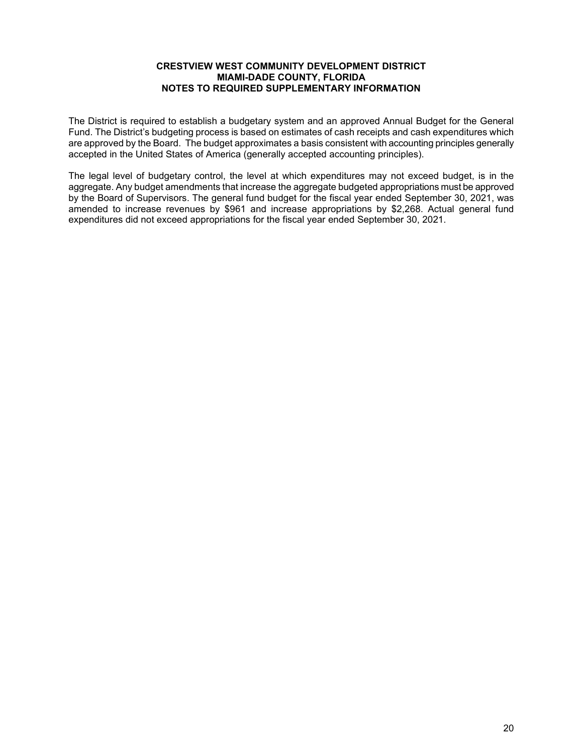### **CRESTVIEW WEST COMMUNITY DEVELOPMENT DISTRICT MIAMI-DADE COUNTY, FLORIDA NOTES TO REQUIRED SUPPLEMENTARY INFORMATION**

The District is required to establish a budgetary system and an approved Annual Budget for the General Fund. The District's budgeting process is based on estimates of cash receipts and cash expenditures which are approved by the Board. The budget approximates a basis consistent with accounting principles generally accepted in the United States of America (generally accepted accounting principles).

The legal level of budgetary control, the level at which expenditures may not exceed budget, is in the aggregate. Any budget amendments that increase the aggregate budgeted appropriations must be approved by the Board of Supervisors. The general fund budget for the fiscal year ended September 30, 2021, was amended to increase revenues by \$961 and increase appropriations by \$2,268. Actual general fund expenditures did not exceed appropriations for the fiscal year ended September 30, 2021.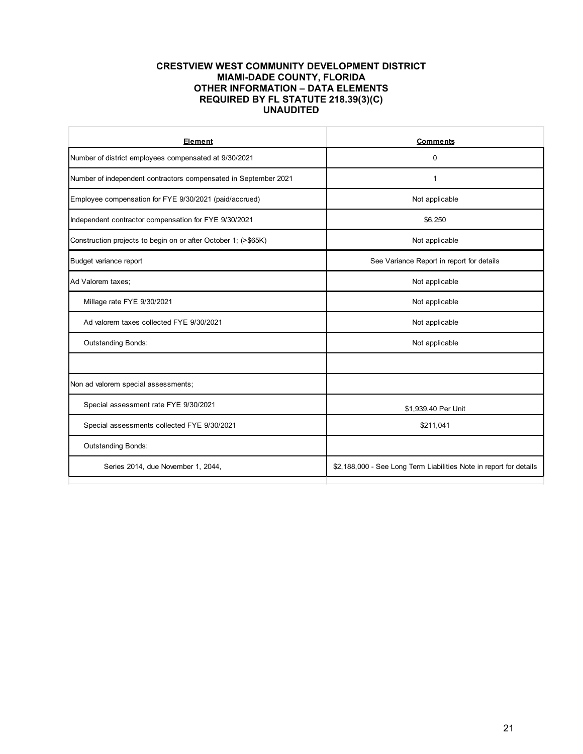#### **CRESTVIEW WEST COMMUNITY DEVELOPMENT DISTRICT MIAMI-DADE COUNTY, FLORIDA OTHER INFORMATION – DATA ELEMENTS REQUIRED BY FL STATUTE 218.39(3)(C) UNAUDITED**

| Element                                                         | <b>Comments</b>                                                    |  |  |  |  |  |
|-----------------------------------------------------------------|--------------------------------------------------------------------|--|--|--|--|--|
| Number of district employees compensated at 9/30/2021           | $\mathbf 0$                                                        |  |  |  |  |  |
| Number of independent contractors compensated in September 2021 | 1                                                                  |  |  |  |  |  |
| Employee compensation for FYE 9/30/2021 (paid/accrued)          | Not applicable                                                     |  |  |  |  |  |
| Independent contractor compensation for FYE 9/30/2021           | \$6,250                                                            |  |  |  |  |  |
| Construction projects to begin on or after October 1; (>\$65K)  | Not applicable                                                     |  |  |  |  |  |
| Budget variance report                                          | See Variance Report in report for details                          |  |  |  |  |  |
| Ad Valorem taxes;                                               | Not applicable                                                     |  |  |  |  |  |
| Millage rate FYE 9/30/2021                                      | Not applicable                                                     |  |  |  |  |  |
| Ad valorem taxes collected FYE 9/30/2021                        | Not applicable                                                     |  |  |  |  |  |
| <b>Outstanding Bonds:</b>                                       | Not applicable                                                     |  |  |  |  |  |
|                                                                 |                                                                    |  |  |  |  |  |
| Non ad valorem special assessments;                             |                                                                    |  |  |  |  |  |
| Special assessment rate FYE 9/30/2021                           | \$1,939.40 Per Unit                                                |  |  |  |  |  |
| Special assessments collected FYE 9/30/2021                     | \$211,041                                                          |  |  |  |  |  |
| <b>Outstanding Bonds:</b>                                       |                                                                    |  |  |  |  |  |
| Series 2014, due November 1, 2044,                              | \$2,188,000 - See Long Term Liabilities Note in report for details |  |  |  |  |  |
|                                                                 |                                                                    |  |  |  |  |  |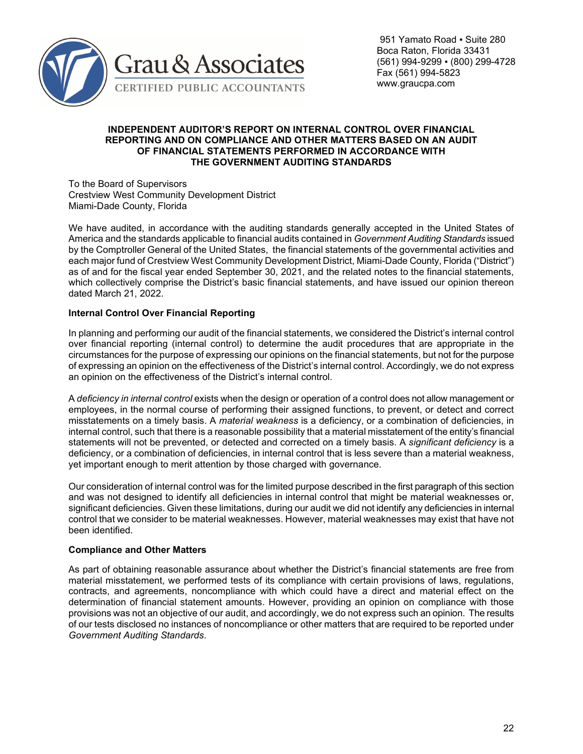

### **INDEPENDENT AUDITOR'S REPORT ON INTERNAL CONTROL OVER FINANCIAL REPORTING AND ON COMPLIANCE AND OTHER MATTERS BASED ON AN AUDIT OF FINANCIAL STATEMENTS PERFORMED IN ACCORDANCE WITH THE GOVERNMENT AUDITING STANDARDS**

To the Board of Supervisors Crestview West Community Development District Miami-Dade County, Florida

We have audited, in accordance with the auditing standards generally accepted in the United States of America and the standards applicable to financial audits contained in *Government Auditing Standards* issued by the Comptroller General of the United States, the financial statements of the governmental activities and each major fund of Crestview West Community Development District, Miami-Dade County, Florida ("District") as of and for the fiscal year ended September 30, 2021, and the related notes to the financial statements, which collectively comprise the District's basic financial statements, and have issued our opinion thereon dated March 21, 2022.

# **Internal Control Over Financial Reporting**

In planning and performing our audit of the financial statements, we considered the District's internal control over financial reporting (internal control) to determine the audit procedures that are appropriate in the circumstances for the purpose of expressing our opinions on the financial statements, but not for the purpose of expressing an opinion on the effectiveness of the District's internal control. Accordingly, we do not express an opinion on the effectiveness of the District's internal control.

A *deficiency in internal control* exists when the design or operation of a control does not allow management or employees, in the normal course of performing their assigned functions, to prevent, or detect and correct misstatements on a timely basis. A *material weakness* is a deficiency, or a combination of deficiencies, in internal control, such that there is a reasonable possibility that a material misstatement of the entity's financial statements will not be prevented, or detected and corrected on a timely basis. A *significant deficiency* is a deficiency, or a combination of deficiencies, in internal control that is less severe than a material weakness, yet important enough to merit attention by those charged with governance.

Our consideration of internal control was for the limited purpose described in the first paragraph of this section and was not designed to identify all deficiencies in internal control that might be material weaknesses or, significant deficiencies. Given these limitations, during our audit we did not identify any deficiencies in internal control that we consider to be material weaknesses. However, material weaknesses may exist that have not been identified.

### **Compliance and Other Matters**

As part of obtaining reasonable assurance about whether the District's financial statements are free from material misstatement, we performed tests of its compliance with certain provisions of laws, regulations, contracts, and agreements, noncompliance with which could have a direct and material effect on the determination of financial statement amounts. However, providing an opinion on compliance with those provisions was not an objective of our audit, and accordingly, we do not express such an opinion. The results of our tests disclosed no instances of noncompliance or other matters that are required to be reported under *Government Auditing Standards*.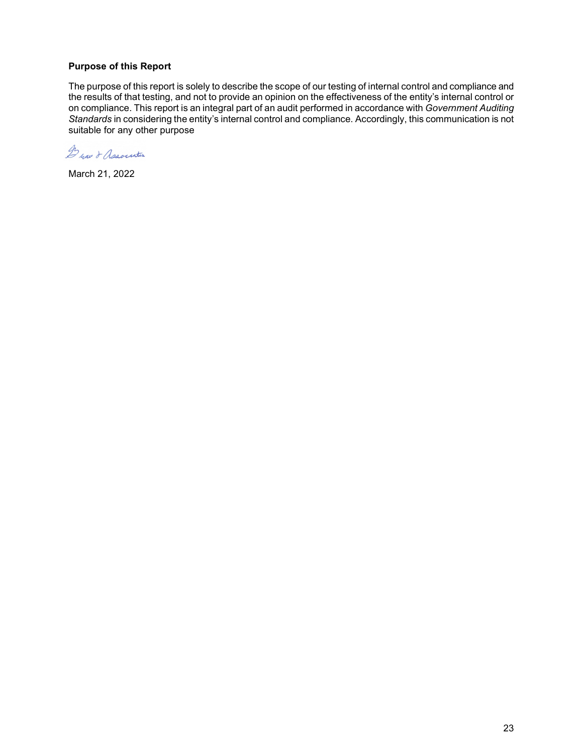# **Purpose of this Report**

The purpose of this report is solely to describe the scope of our testing of internal control and compliance and the results of that testing, and not to provide an opinion on the effectiveness of the entity's internal control or on compliance. This report is an integral part of an audit performed in accordance with *Government Auditing Standards* in considering the entity's internal control and compliance. Accordingly, this communication is not suitable for any other purpose

De nav & Association

March 21, 2022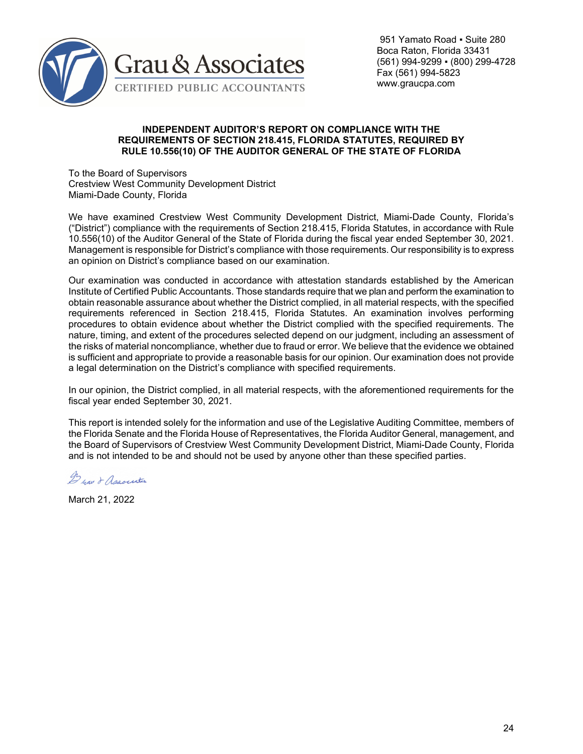

 951 Yamato Road ▪ Suite 280 Boca Raton, Florida 33431 (561) 994-9299 ▪ (800) 299-4728 Fax (561) 994-5823 www.graucpa.com

#### **INDEPENDENT AUDITOR'S REPORT ON COMPLIANCE WITH THE REQUIREMENTS OF SECTION 218.415, FLORIDA STATUTES, REQUIRED BY RULE 10.556(10) OF THE AUDITOR GENERAL OF THE STATE OF FLORIDA**

To the Board of Supervisors Crestview West Community Development District Miami-Dade County, Florida

We have examined Crestview West Community Development District, Miami-Dade County, Florida's ("District") compliance with the requirements of Section 218.415, Florida Statutes, in accordance with Rule 10.556(10) of the Auditor General of the State of Florida during the fiscal year ended September 30, 2021. Management is responsible for District's compliance with those requirements. Our responsibility is to express an opinion on District's compliance based on our examination.

Our examination was conducted in accordance with attestation standards established by the American Institute of Certified Public Accountants. Those standards require that we plan and perform the examination to obtain reasonable assurance about whether the District complied, in all material respects, with the specified requirements referenced in Section 218.415, Florida Statutes. An examination involves performing procedures to obtain evidence about whether the District complied with the specified requirements. The nature, timing, and extent of the procedures selected depend on our judgment, including an assessment of the risks of material noncompliance, whether due to fraud or error. We believe that the evidence we obtained is sufficient and appropriate to provide a reasonable basis for our opinion. Our examination does not provide a legal determination on the District's compliance with specified requirements.

In our opinion, the District complied, in all material respects, with the aforementioned requirements for the fiscal year ended September 30, 2021.

This report is intended solely for the information and use of the Legislative Auditing Committee, members of the Florida Senate and the Florida House of Representatives, the Florida Auditor General, management, and the Board of Supervisors of Crestview West Community Development District, Miami-Dade County, Florida and is not intended to be and should not be used by anyone other than these specified parties.

Dear & Association

March 21, 2022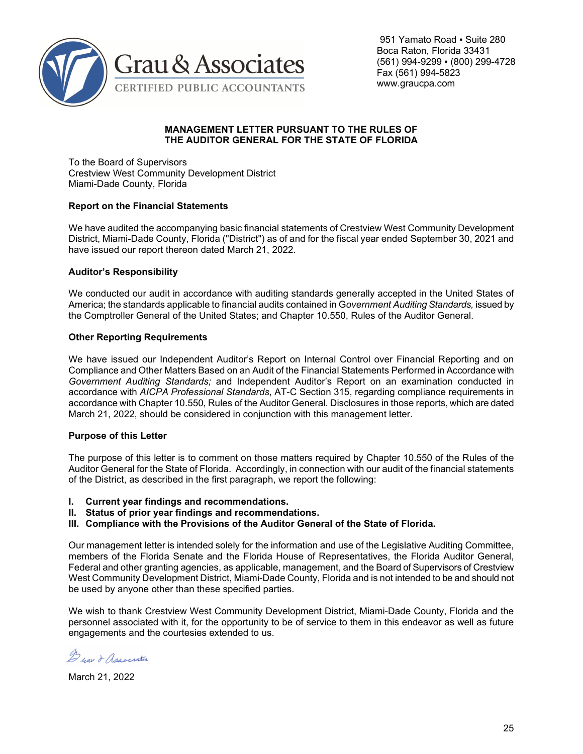

### **MANAGEMENT LETTER PURSUANT TO THE RULES OF THE AUDITOR GENERAL FOR THE STATE OF FLORIDA**

To the Board of Supervisors Crestview West Community Development District Miami-Dade County, Florida

### **Report on the Financial Statements**

We have audited the accompanying basic financial statements of Crestview West Community Development District, Miami-Dade County, Florida ("District") as of and for the fiscal year ended September 30, 2021 and have issued our report thereon dated March 21, 2022.

### **Auditor's Responsibility**

We conducted our audit in accordance with auditing standards generally accepted in the United States of America; the standards applicable to financial audits contained in G*overnment Auditing Standards,* issued by the Comptroller General of the United States; and Chapter 10.550, Rules of the Auditor General.

### **Other Reporting Requirements**

We have issued our Independent Auditor's Report on Internal Control over Financial Reporting and on Compliance and Other Matters Based on an Audit of the Financial Statements Performed in Accordance with *Government Auditing Standards;* and Independent Auditor's Report on an examination conducted in accordance with *AICPA Professional Standards*, AT-C Section 315, regarding compliance requirements in accordance with Chapter 10.550, Rules of the Auditor General. Disclosures in those reports, which are dated March 21, 2022, should be considered in conjunction with this management letter.

### **Purpose of this Letter**

The purpose of this letter is to comment on those matters required by Chapter 10.550 of the Rules of the Auditor General for the State of Florida. Accordingly, in connection with our audit of the financial statements of the District, as described in the first paragraph, we report the following:

- **I. Current year findings and recommendations.**
- **II. Status of prior year findings and recommendations.**
- **III. Compliance with the Provisions of the Auditor General of the State of Florida.**

Our management letter is intended solely for the information and use of the Legislative Auditing Committee, members of the Florida Senate and the Florida House of Representatives, the Florida Auditor General, Federal and other granting agencies, as applicable, management, and the Board of Supervisors of Crestview West Community Development District, Miami-Dade County, Florida and is not intended to be and should not be used by anyone other than these specified parties.

We wish to thank Crestview West Community Development District, Miami-Dade County, Florida and the personnel associated with it, for the opportunity to be of service to them in this endeavor as well as future engagements and the courtesies extended to us.

De yau & Association

March 21, 2022